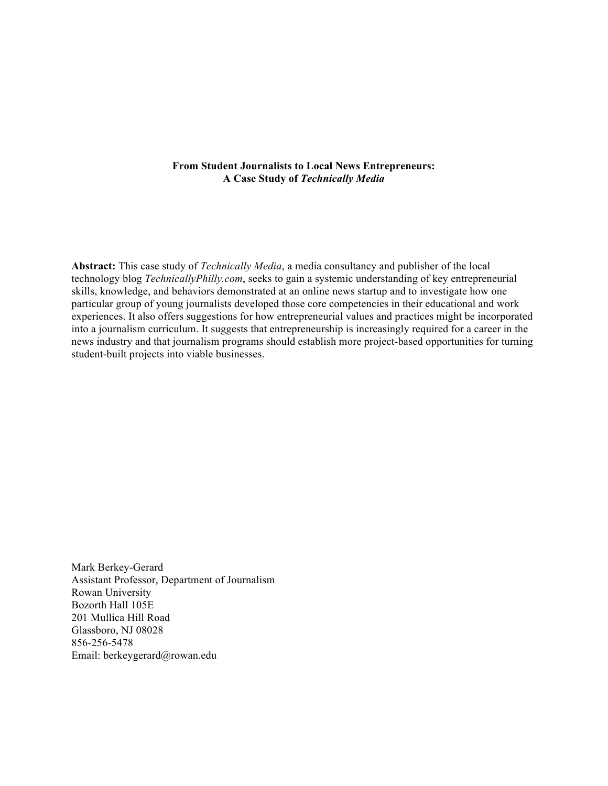# **From Student Journalists to Local News Entrepreneurs: A Case Study of** *Technically Media*

**Abstract:** This case study of *Technically Media*, a media consultancy and publisher of the local technology blog *TechnicallyPhilly.com*, seeks to gain a systemic understanding of key entrepreneurial skills, knowledge, and behaviors demonstrated at an online news startup and to investigate how one particular group of young journalists developed those core competencies in their educational and work experiences. It also offers suggestions for how entrepreneurial values and practices might be incorporated into a journalism curriculum. It suggests that entrepreneurship is increasingly required for a career in the news industry and that journalism programs should establish more project-based opportunities for turning student-built projects into viable businesses.

Mark Berkey-Gerard Assistant Professor, Department of Journalism Rowan University Bozorth Hall 105E 201 Mullica Hill Road Glassboro, NJ 08028 856-256-5478 Email: berkeygerard@rowan.edu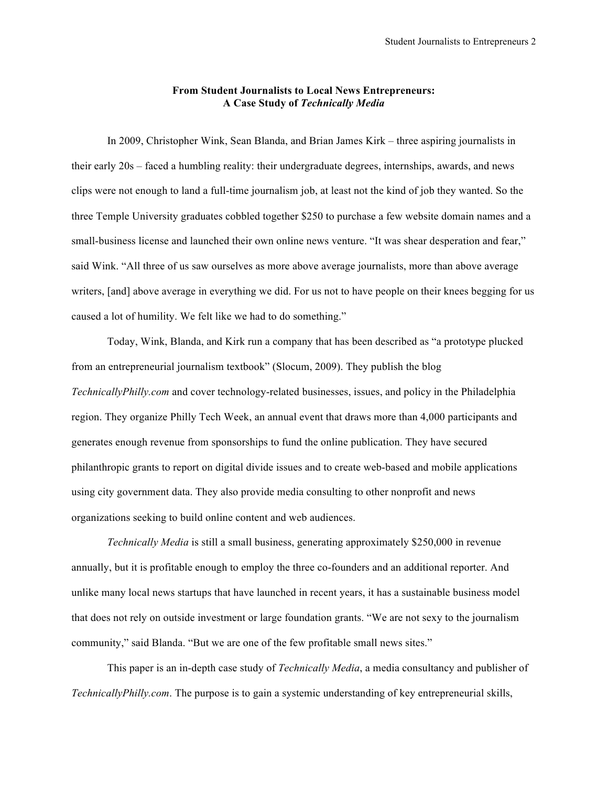# **From Student Journalists to Local News Entrepreneurs: A Case Study of** *Technically Media*

In 2009, Christopher Wink, Sean Blanda, and Brian James Kirk – three aspiring journalists in their early 20s – faced a humbling reality: their undergraduate degrees, internships, awards, and news clips were not enough to land a full-time journalism job, at least not the kind of job they wanted. So the three Temple University graduates cobbled together \$250 to purchase a few website domain names and a small-business license and launched their own online news venture. "It was shear desperation and fear," said Wink. "All three of us saw ourselves as more above average journalists, more than above average writers, [and] above average in everything we did. For us not to have people on their knees begging for us caused a lot of humility. We felt like we had to do something."

Today, Wink, Blanda, and Kirk run a company that has been described as "a prototype plucked from an entrepreneurial journalism textbook" (Slocum, 2009). They publish the blog *TechnicallyPhilly.com* and cover technology-related businesses, issues, and policy in the Philadelphia region. They organize Philly Tech Week, an annual event that draws more than 4,000 participants and generates enough revenue from sponsorships to fund the online publication. They have secured philanthropic grants to report on digital divide issues and to create web-based and mobile applications using city government data. They also provide media consulting to other nonprofit and news organizations seeking to build online content and web audiences.

*Technically Media* is still a small business, generating approximately \$250,000 in revenue annually, but it is profitable enough to employ the three co-founders and an additional reporter. And unlike many local news startups that have launched in recent years, it has a sustainable business model that does not rely on outside investment or large foundation grants. "We are not sexy to the journalism community," said Blanda. "But we are one of the few profitable small news sites."

This paper is an in-depth case study of *Technically Media*, a media consultancy and publisher of *TechnicallyPhilly.com*. The purpose is to gain a systemic understanding of key entrepreneurial skills,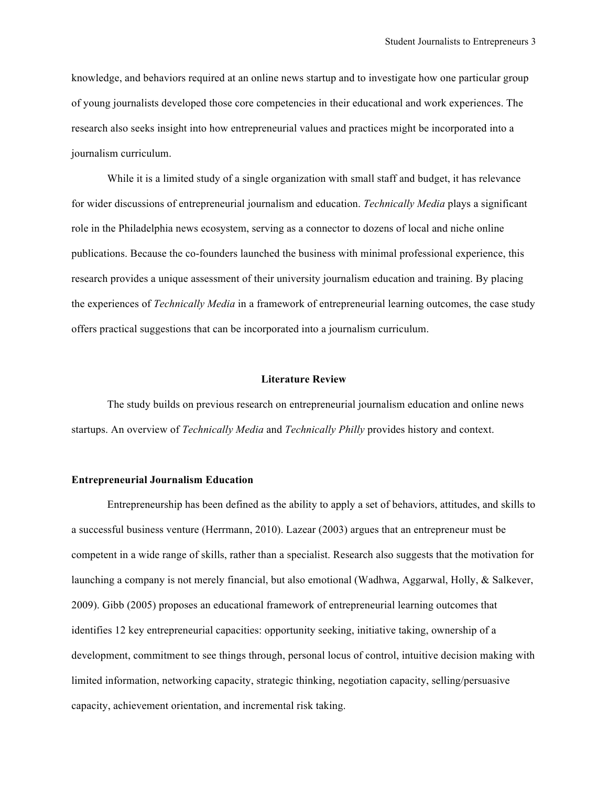knowledge, and behaviors required at an online news startup and to investigate how one particular group of young journalists developed those core competencies in their educational and work experiences. The research also seeks insight into how entrepreneurial values and practices might be incorporated into a journalism curriculum.

While it is a limited study of a single organization with small staff and budget, it has relevance for wider discussions of entrepreneurial journalism and education. *Technically Media* plays a significant role in the Philadelphia news ecosystem, serving as a connector to dozens of local and niche online publications. Because the co-founders launched the business with minimal professional experience, this research provides a unique assessment of their university journalism education and training. By placing the experiences of *Technically Media* in a framework of entrepreneurial learning outcomes, the case study offers practical suggestions that can be incorporated into a journalism curriculum.

### **Literature Review**

The study builds on previous research on entrepreneurial journalism education and online news startups. An overview of *Technically Media* and *Technically Philly* provides history and context.

### **Entrepreneurial Journalism Education**

Entrepreneurship has been defined as the ability to apply a set of behaviors, attitudes, and skills to a successful business venture (Herrmann, 2010). Lazear (2003) argues that an entrepreneur must be competent in a wide range of skills, rather than a specialist. Research also suggests that the motivation for launching a company is not merely financial, but also emotional (Wadhwa, Aggarwal, Holly, & Salkever, 2009). Gibb (2005) proposes an educational framework of entrepreneurial learning outcomes that identifies 12 key entrepreneurial capacities: opportunity seeking, initiative taking, ownership of a development, commitment to see things through, personal locus of control, intuitive decision making with limited information, networking capacity, strategic thinking, negotiation capacity, selling/persuasive capacity, achievement orientation, and incremental risk taking.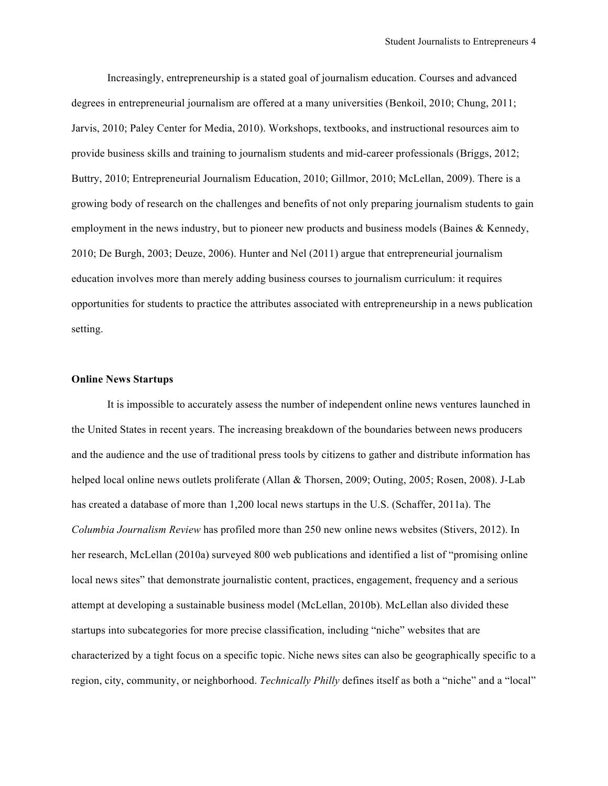Increasingly, entrepreneurship is a stated goal of journalism education. Courses and advanced degrees in entrepreneurial journalism are offered at a many universities (Benkoil, 2010; Chung, 2011; Jarvis, 2010; Paley Center for Media, 2010). Workshops, textbooks, and instructional resources aim to provide business skills and training to journalism students and mid-career professionals (Briggs, 2012; Buttry, 2010; Entrepreneurial Journalism Education, 2010; Gillmor, 2010; McLellan, 2009). There is a growing body of research on the challenges and benefits of not only preparing journalism students to gain employment in the news industry, but to pioneer new products and business models (Baines & Kennedy, 2010; De Burgh, 2003; Deuze, 2006). Hunter and Nel (2011) argue that entrepreneurial journalism education involves more than merely adding business courses to journalism curriculum: it requires opportunities for students to practice the attributes associated with entrepreneurship in a news publication setting.

## **Online News Startups**

It is impossible to accurately assess the number of independent online news ventures launched in the United States in recent years. The increasing breakdown of the boundaries between news producers and the audience and the use of traditional press tools by citizens to gather and distribute information has helped local online news outlets proliferate (Allan & Thorsen, 2009; Outing, 2005; Rosen, 2008). J-Lab has created a database of more than 1,200 local news startups in the U.S. (Schaffer, 2011a). The *Columbia Journalism Review* has profiled more than 250 new online news websites (Stivers, 2012). In her research, McLellan (2010a) surveyed 800 web publications and identified a list of "promising online local news sites" that demonstrate journalistic content, practices, engagement, frequency and a serious attempt at developing a sustainable business model (McLellan, 2010b). McLellan also divided these startups into subcategories for more precise classification, including "niche" websites that are characterized by a tight focus on a specific topic. Niche news sites can also be geographically specific to a region, city, community, or neighborhood. *Technically Philly* defines itself as both a "niche" and a "local"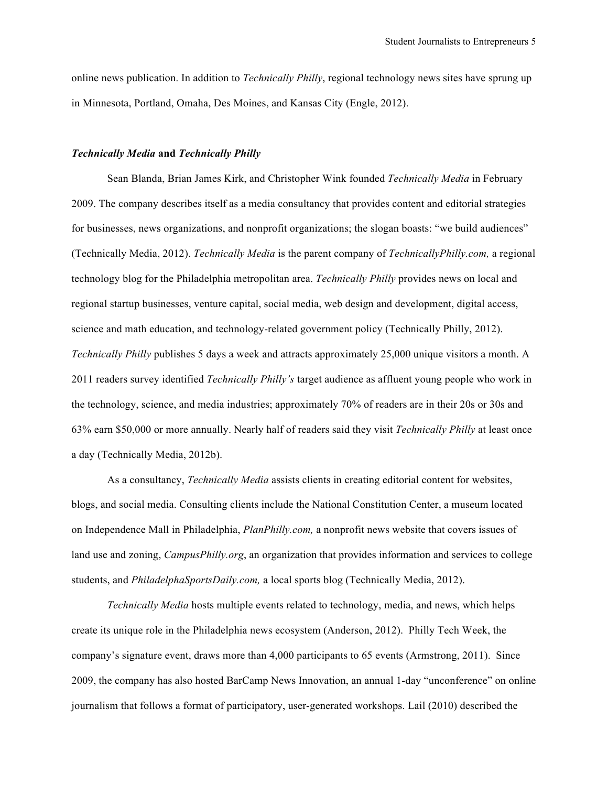online news publication. In addition to *Technically Philly*, regional technology news sites have sprung up in Minnesota, Portland, Omaha, Des Moines, and Kansas City (Engle, 2012).

# *Technically Media* **and** *Technically Philly*

Sean Blanda, Brian James Kirk, and Christopher Wink founded *Technically Media* in February 2009. The company describes itself as a media consultancy that provides content and editorial strategies for businesses, news organizations, and nonprofit organizations; the slogan boasts: "we build audiences" (Technically Media, 2012). *Technically Media* is the parent company of *TechnicallyPhilly.com,* a regional technology blog for the Philadelphia metropolitan area. *Technically Philly* provides news on local and regional startup businesses, venture capital, social media, web design and development, digital access, science and math education, and technology-related government policy (Technically Philly, 2012). *Technically Philly* publishes 5 days a week and attracts approximately 25,000 unique visitors a month. A 2011 readers survey identified *Technically Philly's* target audience as affluent young people who work in the technology, science, and media industries; approximately 70% of readers are in their 20s or 30s and 63% earn \$50,000 or more annually. Nearly half of readers said they visit *Technically Philly* at least once a day (Technically Media, 2012b).

As a consultancy, *Technically Media* assists clients in creating editorial content for websites, blogs, and social media. Consulting clients include the National Constitution Center, a museum located on Independence Mall in Philadelphia, *PlanPhilly.com,* a nonprofit news website that covers issues of land use and zoning, *CampusPhilly.org*, an organization that provides information and services to college students, and *PhiladelphaSportsDaily.com,* a local sports blog (Technically Media, 2012).

*Technically Media* hosts multiple events related to technology, media, and news, which helps create its unique role in the Philadelphia news ecosystem (Anderson, 2012). Philly Tech Week, the company's signature event, draws more than 4,000 participants to 65 events (Armstrong, 2011). Since 2009, the company has also hosted BarCamp News Innovation, an annual 1-day "unconference" on online journalism that follows a format of participatory, user-generated workshops. Lail (2010) described the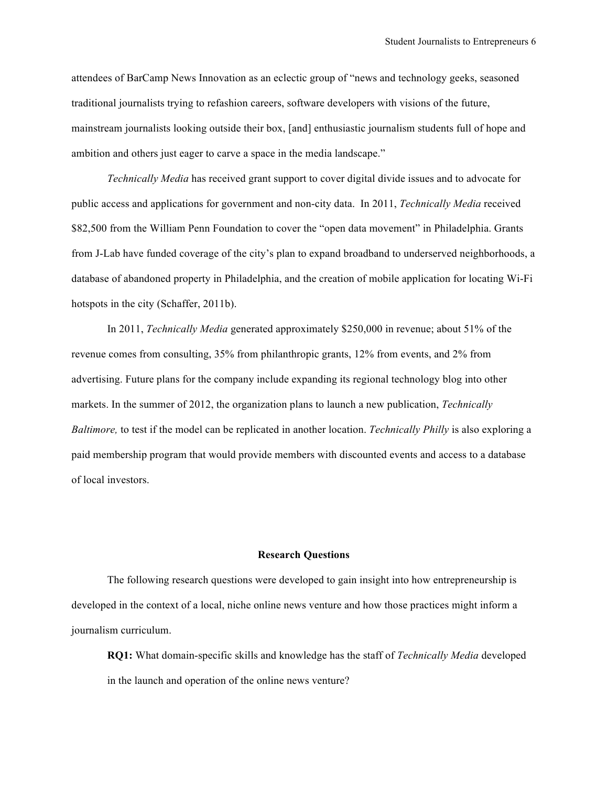attendees of BarCamp News Innovation as an eclectic group of "news and technology geeks, seasoned traditional journalists trying to refashion careers, software developers with visions of the future, mainstream journalists looking outside their box, [and] enthusiastic journalism students full of hope and ambition and others just eager to carve a space in the media landscape."

*Technically Media* has received grant support to cover digital divide issues and to advocate for public access and applications for government and non-city data. In 2011, *Technically Media* received \$82,500 from the William Penn Foundation to cover the "open data movement" in Philadelphia. Grants from J-Lab have funded coverage of the city's plan to expand broadband to underserved neighborhoods, a database of abandoned property in Philadelphia, and the creation of mobile application for locating Wi-Fi hotspots in the city (Schaffer, 2011b).

In 2011, *Technically Media* generated approximately \$250,000 in revenue; about 51% of the revenue comes from consulting, 35% from philanthropic grants, 12% from events, and 2% from advertising. Future plans for the company include expanding its regional technology blog into other markets. In the summer of 2012, the organization plans to launch a new publication, *Technically Baltimore,* to test if the model can be replicated in another location. *Technically Philly* is also exploring a paid membership program that would provide members with discounted events and access to a database of local investors.

## **Research Questions**

The following research questions were developed to gain insight into how entrepreneurship is developed in the context of a local, niche online news venture and how those practices might inform a journalism curriculum.

**RQ1:** What domain-specific skills and knowledge has the staff of *Technically Media* developed in the launch and operation of the online news venture?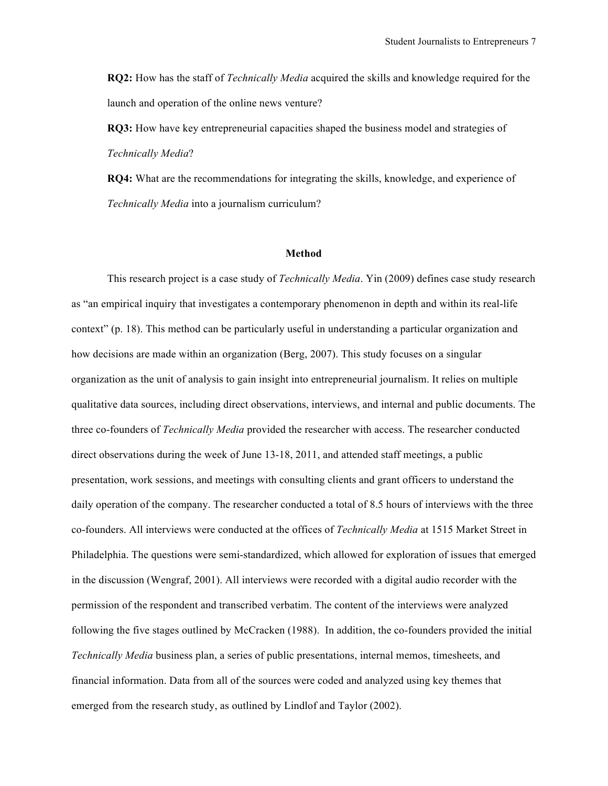**RQ2:** How has the staff of *Technically Media* acquired the skills and knowledge required for the launch and operation of the online news venture?

**RQ3:** How have key entrepreneurial capacities shaped the business model and strategies of *Technically Media*?

**RQ4:** What are the recommendations for integrating the skills, knowledge, and experience of *Technically Media* into a journalism curriculum?

#### **Method**

This research project is a case study of *Technically Media*. Yin (2009) defines case study research as "an empirical inquiry that investigates a contemporary phenomenon in depth and within its real-life context" (p. 18). This method can be particularly useful in understanding a particular organization and how decisions are made within an organization (Berg, 2007). This study focuses on a singular organization as the unit of analysis to gain insight into entrepreneurial journalism. It relies on multiple qualitative data sources, including direct observations, interviews, and internal and public documents. The three co-founders of *Technically Media* provided the researcher with access. The researcher conducted direct observations during the week of June 13-18, 2011, and attended staff meetings, a public presentation, work sessions, and meetings with consulting clients and grant officers to understand the daily operation of the company. The researcher conducted a total of 8.5 hours of interviews with the three co-founders. All interviews were conducted at the offices of *Technically Media* at 1515 Market Street in Philadelphia. The questions were semi-standardized, which allowed for exploration of issues that emerged in the discussion (Wengraf, 2001). All interviews were recorded with a digital audio recorder with the permission of the respondent and transcribed verbatim. The content of the interviews were analyzed following the five stages outlined by McCracken (1988). In addition, the co-founders provided the initial *Technically Media* business plan, a series of public presentations, internal memos, timesheets, and financial information. Data from all of the sources were coded and analyzed using key themes that emerged from the research study, as outlined by Lindlof and Taylor (2002).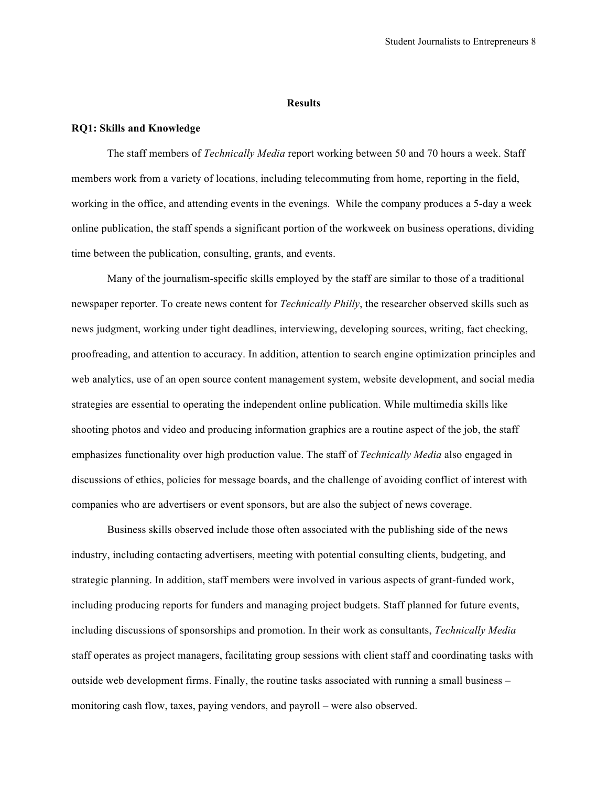#### **Results**

### **RQ1: Skills and Knowledge**

The staff members of *Technically Media* report working between 50 and 70 hours a week. Staff members work from a variety of locations, including telecommuting from home, reporting in the field, working in the office, and attending events in the evenings. While the company produces a 5-day a week online publication, the staff spends a significant portion of the workweek on business operations, dividing time between the publication, consulting, grants, and events.

Many of the journalism-specific skills employed by the staff are similar to those of a traditional newspaper reporter. To create news content for *Technically Philly*, the researcher observed skills such as news judgment, working under tight deadlines, interviewing, developing sources, writing, fact checking, proofreading, and attention to accuracy. In addition, attention to search engine optimization principles and web analytics, use of an open source content management system, website development, and social media strategies are essential to operating the independent online publication. While multimedia skills like shooting photos and video and producing information graphics are a routine aspect of the job, the staff emphasizes functionality over high production value. The staff of *Technically Media* also engaged in discussions of ethics, policies for message boards, and the challenge of avoiding conflict of interest with companies who are advertisers or event sponsors, but are also the subject of news coverage.

Business skills observed include those often associated with the publishing side of the news industry, including contacting advertisers, meeting with potential consulting clients, budgeting, and strategic planning. In addition, staff members were involved in various aspects of grant-funded work, including producing reports for funders and managing project budgets. Staff planned for future events, including discussions of sponsorships and promotion. In their work as consultants, *Technically Media* staff operates as project managers, facilitating group sessions with client staff and coordinating tasks with outside web development firms. Finally, the routine tasks associated with running a small business – monitoring cash flow, taxes, paying vendors, and payroll – were also observed.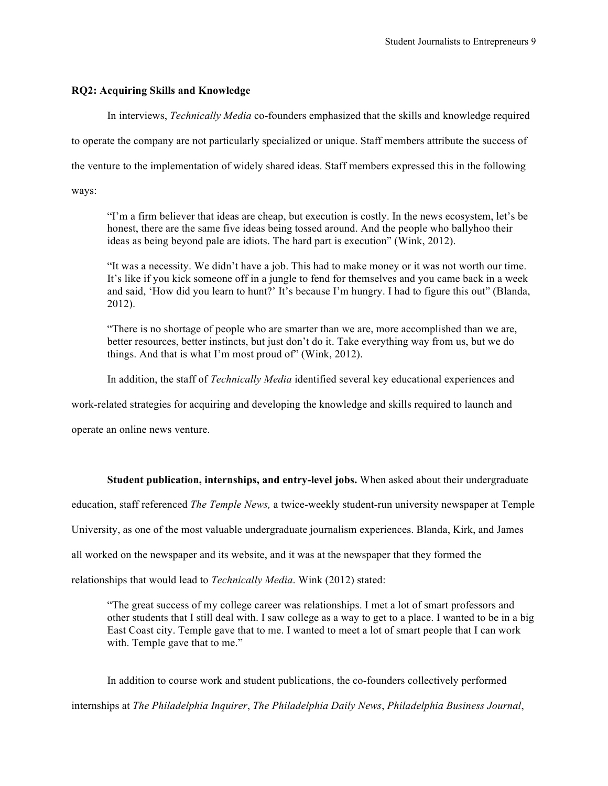# **RQ2: Acquiring Skills and Knowledge**

In interviews, *Technically Media* co-founders emphasized that the skills and knowledge required

to operate the company are not particularly specialized or unique. Staff members attribute the success of

the venture to the implementation of widely shared ideas. Staff members expressed this in the following

ways:

"I'm a firm believer that ideas are cheap, but execution is costly. In the news ecosystem, let's be honest, there are the same five ideas being tossed around. And the people who ballyhoo their ideas as being beyond pale are idiots. The hard part is execution" (Wink, 2012).

"It was a necessity. We didn't have a job. This had to make money or it was not worth our time. It's like if you kick someone off in a jungle to fend for themselves and you came back in a week and said, 'How did you learn to hunt?' It's because I'm hungry. I had to figure this out" (Blanda, 2012).

"There is no shortage of people who are smarter than we are, more accomplished than we are, better resources, better instincts, but just don't do it. Take everything way from us, but we do things. And that is what I'm most proud of" (Wink, 2012).

In addition, the staff of *Technically Media* identified several key educational experiences and

work-related strategies for acquiring and developing the knowledge and skills required to launch and

operate an online news venture.

# **Student publication, internships, and entry-level jobs.** When asked about their undergraduate

education, staff referenced *The Temple News,* a twice-weekly student-run university newspaper at Temple

University, as one of the most valuable undergraduate journalism experiences. Blanda, Kirk, and James

all worked on the newspaper and its website, and it was at the newspaper that they formed the

relationships that would lead to *Technically Media*. Wink (2012) stated:

"The great success of my college career was relationships. I met a lot of smart professors and other students that I still deal with. I saw college as a way to get to a place. I wanted to be in a big East Coast city. Temple gave that to me. I wanted to meet a lot of smart people that I can work with. Temple gave that to me."

In addition to course work and student publications, the co-founders collectively performed internships at *The Philadelphia Inquirer*, *The Philadelphia Daily News*, *Philadelphia Business Journal*,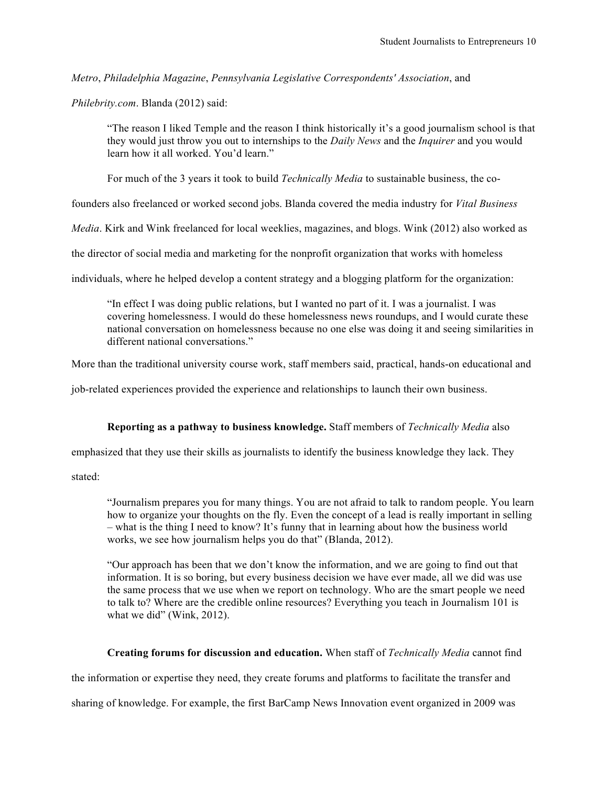*Metro*, *Philadelphia Magazine*, *Pennsylvania Legislative Correspondents' Association*, and

*Philebrity.com*. Blanda (2012) said:

"The reason I liked Temple and the reason I think historically it's a good journalism school is that they would just throw you out to internships to the *Daily News* and the *Inquirer* and you would learn how it all worked. You'd learn."

For much of the 3 years it took to build *Technically Media* to sustainable business, the co-

founders also freelanced or worked second jobs. Blanda covered the media industry for *Vital Business* 

*Media*. Kirk and Wink freelanced for local weeklies, magazines, and blogs. Wink (2012) also worked as

the director of social media and marketing for the nonprofit organization that works with homeless

individuals, where he helped develop a content strategy and a blogging platform for the organization:

"In effect I was doing public relations, but I wanted no part of it. I was a journalist. I was covering homelessness. I would do these homelessness news roundups, and I would curate these national conversation on homelessness because no one else was doing it and seeing similarities in different national conversations."

More than the traditional university course work, staff members said, practical, hands-on educational and

job-related experiences provided the experience and relationships to launch their own business.

# **Reporting as a pathway to business knowledge.** Staff members of *Technically Media* also

emphasized that they use their skills as journalists to identify the business knowledge they lack. They

stated:

"Journalism prepares you for many things. You are not afraid to talk to random people. You learn how to organize your thoughts on the fly. Even the concept of a lead is really important in selling – what is the thing I need to know? It's funny that in learning about how the business world works, we see how journalism helps you do that" (Blanda, 2012).

"Our approach has been that we don't know the information, and we are going to find out that information. It is so boring, but every business decision we have ever made, all we did was use the same process that we use when we report on technology. Who are the smart people we need to talk to? Where are the credible online resources? Everything you teach in Journalism 101 is what we did" (Wink, 2012).

# **Creating forums for discussion and education.** When staff of *Technically Media* cannot find

the information or expertise they need, they create forums and platforms to facilitate the transfer and

sharing of knowledge. For example, the first BarCamp News Innovation event organized in 2009 was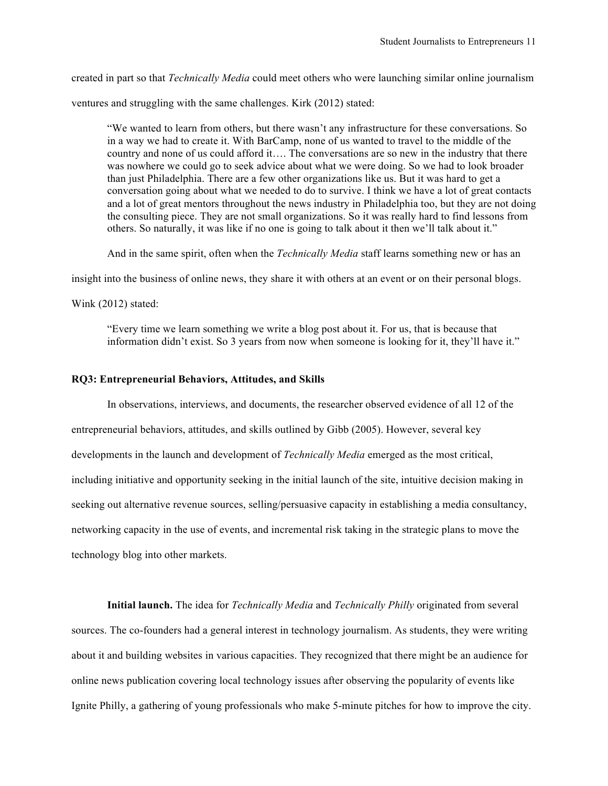created in part so that *Technically Media* could meet others who were launching similar online journalism

ventures and struggling with the same challenges. Kirk (2012) stated:

"We wanted to learn from others, but there wasn't any infrastructure for these conversations. So in a way we had to create it. With BarCamp, none of us wanted to travel to the middle of the country and none of us could afford it…. The conversations are so new in the industry that there was nowhere we could go to seek advice about what we were doing. So we had to look broader than just Philadelphia. There are a few other organizations like us. But it was hard to get a conversation going about what we needed to do to survive. I think we have a lot of great contacts and a lot of great mentors throughout the news industry in Philadelphia too, but they are not doing the consulting piece. They are not small organizations. So it was really hard to find lessons from others. So naturally, it was like if no one is going to talk about it then we'll talk about it."

And in the same spirit, often when the *Technically Media* staff learns something new or has an

insight into the business of online news, they share it with others at an event or on their personal blogs.

Wink (2012) stated:

"Every time we learn something we write a blog post about it. For us, that is because that information didn't exist. So 3 years from now when someone is looking for it, they'll have it."

### **RQ3: Entrepreneurial Behaviors, Attitudes, and Skills**

In observations, interviews, and documents, the researcher observed evidence of all 12 of the entrepreneurial behaviors, attitudes, and skills outlined by Gibb (2005). However, several key developments in the launch and development of *Technically Media* emerged as the most critical, including initiative and opportunity seeking in the initial launch of the site, intuitive decision making in seeking out alternative revenue sources, selling/persuasive capacity in establishing a media consultancy, networking capacity in the use of events, and incremental risk taking in the strategic plans to move the technology blog into other markets.

**Initial launch.** The idea for *Technically Media* and *Technically Philly* originated from several sources. The co-founders had a general interest in technology journalism. As students, they were writing about it and building websites in various capacities. They recognized that there might be an audience for online news publication covering local technology issues after observing the popularity of events like Ignite Philly, a gathering of young professionals who make 5-minute pitches for how to improve the city.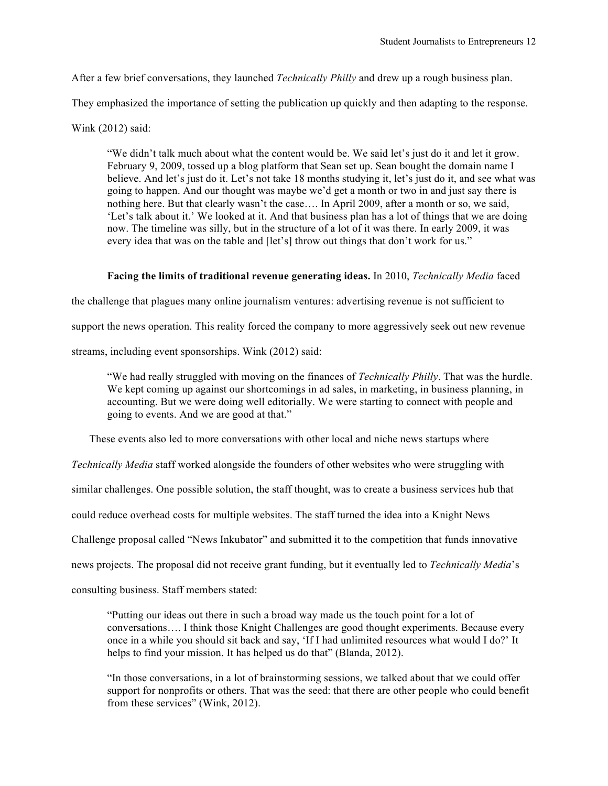After a few brief conversations, they launched *Technically Philly* and drew up a rough business plan.

They emphasized the importance of setting the publication up quickly and then adapting to the response.

Wink (2012) said:

"We didn't talk much about what the content would be. We said let's just do it and let it grow. February 9, 2009, tossed up a blog platform that Sean set up. Sean bought the domain name I believe. And let's just do it. Let's not take 18 months studying it, let's just do it, and see what was going to happen. And our thought was maybe we'd get a month or two in and just say there is nothing here. But that clearly wasn't the case…. In April 2009, after a month or so, we said, 'Let's talk about it.' We looked at it. And that business plan has a lot of things that we are doing now. The timeline was silly, but in the structure of a lot of it was there. In early 2009, it was every idea that was on the table and [let's] throw out things that don't work for us."

### **Facing the limits of traditional revenue generating ideas.** In 2010, *Technically Media* faced

the challenge that plagues many online journalism ventures: advertising revenue is not sufficient to

support the news operation. This reality forced the company to more aggressively seek out new revenue

streams, including event sponsorships. Wink (2012) said:

"We had really struggled with moving on the finances of *Technically Philly*. That was the hurdle. We kept coming up against our shortcomings in ad sales, in marketing, in business planning, in accounting. But we were doing well editorially. We were starting to connect with people and going to events. And we are good at that."

These events also led to more conversations with other local and niche news startups where

*Technically Media* staff worked alongside the founders of other websites who were struggling with

similar challenges. One possible solution, the staff thought, was to create a business services hub that

could reduce overhead costs for multiple websites. The staff turned the idea into a Knight News

Challenge proposal called "News Inkubator" and submitted it to the competition that funds innovative

news projects. The proposal did not receive grant funding, but it eventually led to *Technically Media*'s

consulting business. Staff members stated:

"Putting our ideas out there in such a broad way made us the touch point for a lot of conversations…. I think those Knight Challenges are good thought experiments. Because every once in a while you should sit back and say, 'If I had unlimited resources what would I do?' It helps to find your mission. It has helped us do that" (Blanda, 2012).

"In those conversations, in a lot of brainstorming sessions, we talked about that we could offer support for nonprofits or others. That was the seed: that there are other people who could benefit from these services" (Wink, 2012).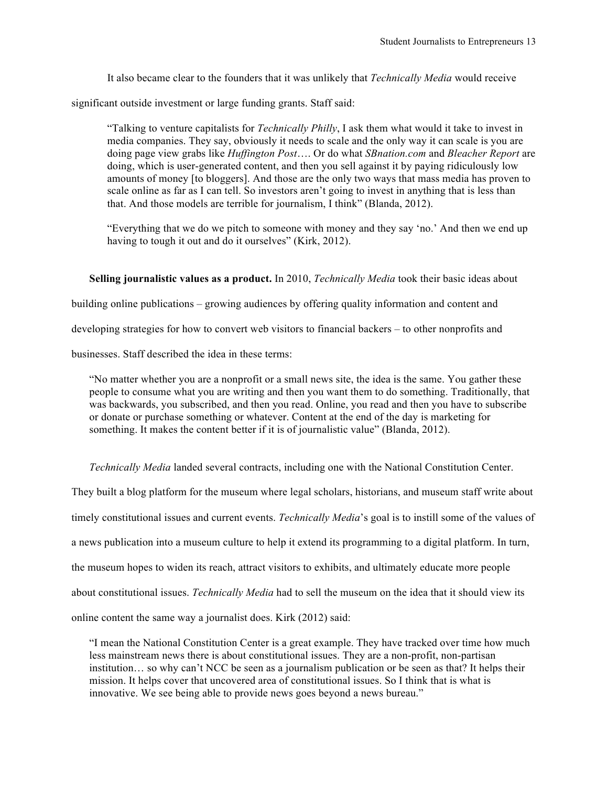It also became clear to the founders that it was unlikely that *Technically Media* would receive

significant outside investment or large funding grants. Staff said:

"Talking to venture capitalists for *Technically Philly*, I ask them what would it take to invest in media companies. They say, obviously it needs to scale and the only way it can scale is you are doing page view grabs like *Huffington Post*…. Or do what *SBnation.com* and *Bleacher Report* are doing, which is user-generated content, and then you sell against it by paying ridiculously low amounts of money [to bloggers]. And those are the only two ways that mass media has proven to scale online as far as I can tell. So investors aren't going to invest in anything that is less than that. And those models are terrible for journalism, I think" (Blanda, 2012).

"Everything that we do we pitch to someone with money and they say 'no.' And then we end up having to tough it out and do it ourselves" (Kirk, 2012).

# **Selling journalistic values as a product.** In 2010, *Technically Media* took their basic ideas about

building online publications – growing audiences by offering quality information and content and

developing strategies for how to convert web visitors to financial backers – to other nonprofits and

businesses. Staff described the idea in these terms:

"No matter whether you are a nonprofit or a small news site, the idea is the same. You gather these people to consume what you are writing and then you want them to do something. Traditionally, that was backwards, you subscribed, and then you read. Online, you read and then you have to subscribe or donate or purchase something or whatever. Content at the end of the day is marketing for something. It makes the content better if it is of journalistic value" (Blanda, 2012).

*Technically Media* landed several contracts, including one with the National Constitution Center.

They built a blog platform for the museum where legal scholars, historians, and museum staff write about

timely constitutional issues and current events. *Technically Media*'s goal is to instill some of the values of

a news publication into a museum culture to help it extend its programming to a digital platform. In turn,

the museum hopes to widen its reach, attract visitors to exhibits, and ultimately educate more people

about constitutional issues. *Technically Media* had to sell the museum on the idea that it should view its

online content the same way a journalist does. Kirk (2012) said:

"I mean the National Constitution Center is a great example. They have tracked over time how much less mainstream news there is about constitutional issues. They are a non-profit, non-partisan institution… so why can't NCC be seen as a journalism publication or be seen as that? It helps their mission. It helps cover that uncovered area of constitutional issues. So I think that is what is innovative. We see being able to provide news goes beyond a news bureau."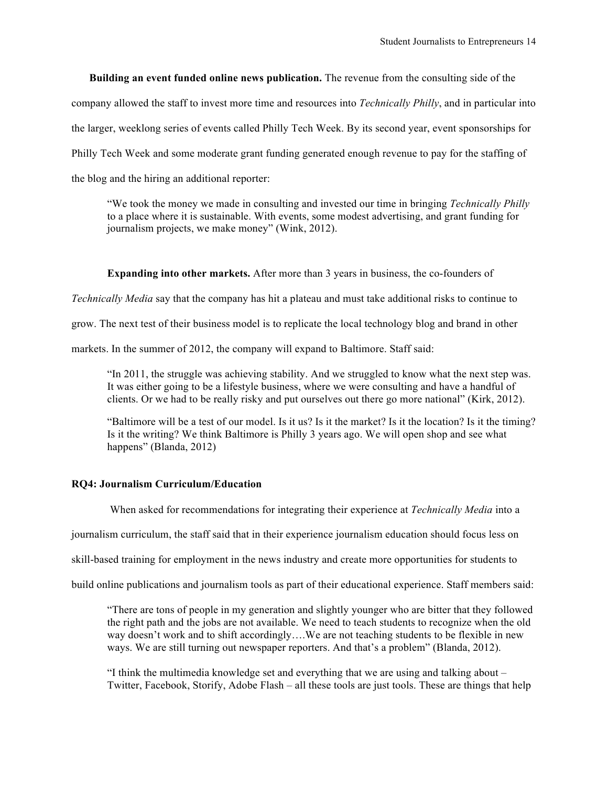**Building an event funded online news publication.** The revenue from the consulting side of the company allowed the staff to invest more time and resources into *Technically Philly*, and in particular into the larger, weeklong series of events called Philly Tech Week. By its second year, event sponsorships for Philly Tech Week and some moderate grant funding generated enough revenue to pay for the staffing of the blog and the hiring an additional reporter:

"We took the money we made in consulting and invested our time in bringing *Technically Philly* to a place where it is sustainable. With events, some modest advertising, and grant funding for journalism projects, we make money" (Wink, 2012).

# **Expanding into other markets.** After more than 3 years in business, the co-founders of

*Technically Media* say that the company has hit a plateau and must take additional risks to continue to

grow. The next test of their business model is to replicate the local technology blog and brand in other

markets. In the summer of 2012, the company will expand to Baltimore. Staff said:

"In 2011, the struggle was achieving stability. And we struggled to know what the next step was. It was either going to be a lifestyle business, where we were consulting and have a handful of clients. Or we had to be really risky and put ourselves out there go more national" (Kirk, 2012).

"Baltimore will be a test of our model. Is it us? Is it the market? Is it the location? Is it the timing? Is it the writing? We think Baltimore is Philly 3 years ago. We will open shop and see what happens" (Blanda, 2012)

## **RQ4: Journalism Curriculum/Education**

When asked for recommendations for integrating their experience at *Technically Media* into a

journalism curriculum, the staff said that in their experience journalism education should focus less on

skill-based training for employment in the news industry and create more opportunities for students to

build online publications and journalism tools as part of their educational experience. Staff members said:

"There are tons of people in my generation and slightly younger who are bitter that they followed the right path and the jobs are not available. We need to teach students to recognize when the old way doesn't work and to shift accordingly….We are not teaching students to be flexible in new ways. We are still turning out newspaper reporters. And that's a problem" (Blanda, 2012).

"I think the multimedia knowledge set and everything that we are using and talking about – Twitter, Facebook, Storify, Adobe Flash – all these tools are just tools. These are things that help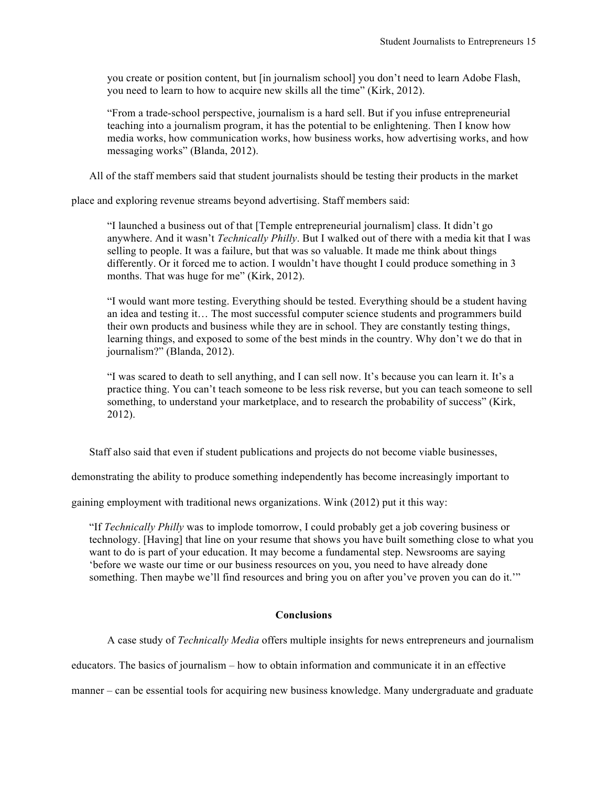you create or position content, but [in journalism school] you don't need to learn Adobe Flash, you need to learn to how to acquire new skills all the time" (Kirk, 2012).

"From a trade-school perspective, journalism is a hard sell. But if you infuse entrepreneurial teaching into a journalism program, it has the potential to be enlightening. Then I know how media works, how communication works, how business works, how advertising works, and how messaging works" (Blanda, 2012).

All of the staff members said that student journalists should be testing their products in the market

place and exploring revenue streams beyond advertising. Staff members said:

"I launched a business out of that [Temple entrepreneurial journalism] class. It didn't go anywhere. And it wasn't *Technically Philly*. But I walked out of there with a media kit that I was selling to people. It was a failure, but that was so valuable. It made me think about things differently. Or it forced me to action. I wouldn't have thought I could produce something in 3 months. That was huge for me" (Kirk, 2012).

"I would want more testing. Everything should be tested. Everything should be a student having an idea and testing it… The most successful computer science students and programmers build their own products and business while they are in school. They are constantly testing things, learning things, and exposed to some of the best minds in the country. Why don't we do that in journalism?" (Blanda, 2012).

"I was scared to death to sell anything, and I can sell now. It's because you can learn it. It's a practice thing. You can't teach someone to be less risk reverse, but you can teach someone to sell something, to understand your marketplace, and to research the probability of success" (Kirk, 2012).

Staff also said that even if student publications and projects do not become viable businesses,

demonstrating the ability to produce something independently has become increasingly important to

gaining employment with traditional news organizations. Wink (2012) put it this way:

"If *Technically Philly* was to implode tomorrow, I could probably get a job covering business or technology. [Having] that line on your resume that shows you have built something close to what you want to do is part of your education. It may become a fundamental step. Newsrooms are saying 'before we waste our time or our business resources on you, you need to have already done something. Then maybe we'll find resources and bring you on after you've proven you can do it.'"

## **Conclusions**

A case study of *Technically Media* offers multiple insights for news entrepreneurs and journalism

educators. The basics of journalism – how to obtain information and communicate it in an effective

manner – can be essential tools for acquiring new business knowledge. Many undergraduate and graduate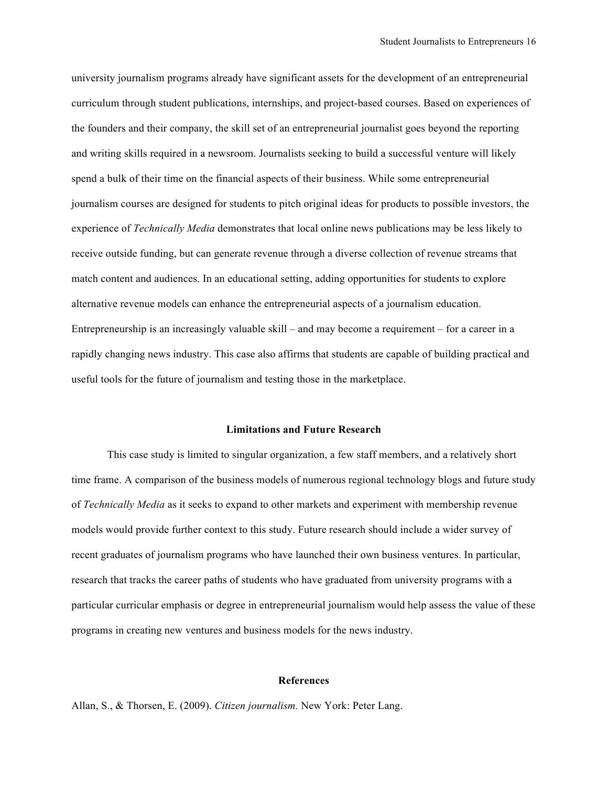university journalism programs already have significant assets for the development of an entrepreneurial curriculum through student publications, internships, and project-based courses. Based on experiences of the founders and their company, the skill set of an entrepreneurial journalist goes beyond the reporting and writing skills required in a newsroom. Journalists seeking to build a successful venture will likely spend a bulk of their time on the financial aspects of their business. While some entrepreneurial journalism courses are designed for students to pitch original ideas for products to possible investors, the experience of *Technically Media* demonstrates that local online news publications may be less likely to receive outside funding, but can generate revenue through a diverse collection of revenue streams that match content and audiences. In an educational setting, adding opportunities for students to explore alternative revenue models can enhance the entrepreneurial aspects of a journalism education. Entrepreneurship is an increasingly valuable skill – and may become a requirement – for a career in a rapidly changing news industry. This case also affirms that students are capable of building practical and useful tools for the future of journalism and testing those in the marketplace.

### **Limitations and Future Research**

This case study is limited to singular organization, a few staff members, and a relatively short time frame. A comparison of the business models of numerous regional technology blogs and future study of *Technically Media* as it seeks to expand to other markets and experiment with membership revenue models would provide further context to this study. Future research should include a wider survey of recent graduates of journalism programs who have launched their own business ventures. In particular, research that tracks the career paths of students who have graduated from university programs with a particular curricular emphasis or degree in entrepreneurial journalism would help assess the value of these programs in creating new ventures and business models for the news industry.

#### **References**

Allan, S., & Thorsen, E. (2009). *Citizen journalism.* New York: Peter Lang.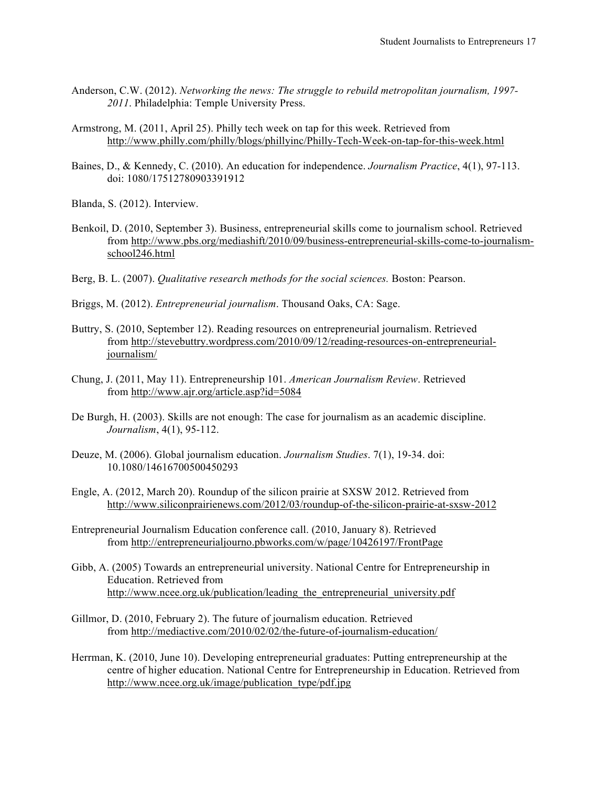- Anderson, C.W. (2012). *Networking the news: The struggle to rebuild metropolitan journalism, 1997- 2011*. Philadelphia: Temple University Press.
- Armstrong, M. (2011, April 25). Philly tech week on tap for this week. Retrieved from http://www.philly.com/philly/blogs/phillyinc/Philly-Tech-Week-on-tap-for-this-week.html
- Baines, D., & Kennedy, C. (2010). An education for independence. *Journalism Practice*, 4(1), 97-113. doi: 1080/17512780903391912
- Blanda, S. (2012). Interview.
- Benkoil, D. (2010, September 3). Business, entrepreneurial skills come to journalism school. Retrieved from http://www.pbs.org/mediashift/2010/09/business-entrepreneurial-skills-come-to-journalismschool246.html
- Berg, B. L. (2007). *Qualitative research methods for the social sciences.* Boston: Pearson.
- Briggs, M. (2012). *Entrepreneurial journalism*. Thousand Oaks, CA: Sage.
- Buttry, S. (2010, September 12). Reading resources on entrepreneurial journalism. Retrieved from http://stevebuttry.wordpress.com/2010/09/12/reading-resources-on-entrepreneurialjournalism/
- Chung, J. (2011, May 11). Entrepreneurship 101. *American Journalism Review*. Retrieved from http://www.ajr.org/article.asp?id=5084
- De Burgh, H. (2003). Skills are not enough: The case for journalism as an academic discipline. *Journalism*, 4(1), 95-112.
- Deuze, M. (2006). Global journalism education. *Journalism Studies*. 7(1), 19-34. doi: 10.1080/14616700500450293
- Engle, A. (2012, March 20). Roundup of the silicon prairie at SXSW 2012. Retrieved from http://www.siliconprairienews.com/2012/03/roundup-of-the-silicon-prairie-at-sxsw-2012
- Entrepreneurial Journalism Education conference call. (2010, January 8). Retrieved from http://entrepreneurialjourno.pbworks.com/w/page/10426197/FrontPage
- Gibb, A. (2005) Towards an entrepreneurial university. National Centre for Entrepreneurship in Education. Retrieved from http://www.ncee.org.uk/publication/leading the entrepreneurial university.pdf
- Gillmor, D. (2010, February 2). The future of journalism education. Retrieved from http://mediactive.com/2010/02/02/the-future-of-journalism-education/
- Herrman, K. (2010, June 10). Developing entrepreneurial graduates: Putting entrepreneurship at the centre of higher education. National Centre for Entrepreneurship in Education. Retrieved from http://www.ncee.org.uk/image/publication\_type/pdf.jpg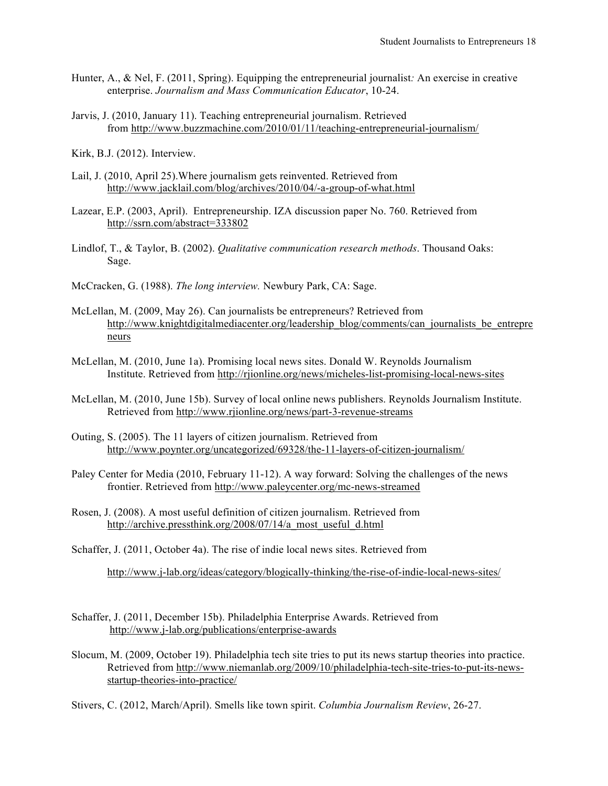- Hunter, A., & Nel, F. (2011, Spring). Equipping the entrepreneurial journalist*:* An exercise in creative enterprise. *Journalism and Mass Communication Educator*, 10-24.
- Jarvis, J. (2010, January 11). Teaching entrepreneurial journalism. Retrieved from http://www.buzzmachine.com/2010/01/11/teaching-entrepreneurial-journalism/
- Kirk, B.J. (2012). Interview.
- Lail, J. (2010, April 25).Where journalism gets reinvented. Retrieved from http://www.jacklail.com/blog/archives/2010/04/-a-group-of-what.html
- Lazear, E.P. (2003, April). Entrepreneurship. IZA discussion paper No. 760. Retrieved from http://ssrn.com/abstract=333802
- Lindlof, T., & Taylor, B. (2002). *Qualitative communication research methods*. Thousand Oaks: Sage.
- McCracken, G. (1988). *The long interview.* Newbury Park, CA: Sage.
- McLellan, M. (2009, May 26). Can journalists be entrepreneurs? Retrieved from http://www.knightdigitalmediacenter.org/leadership\_blog/comments/can\_journalists\_be\_entrepre neurs
- McLellan, M. (2010, June 1a). Promising local news sites. Donald W. Reynolds Journalism Institute. Retrieved from http://rjionline.org/news/micheles-list-promising-local-news-sites
- McLellan, M. (2010, June 15b). Survey of local online news publishers. Reynolds Journalism Institute. Retrieved from http://www.rjionline.org/news/part-3-revenue-streams
- Outing, S. (2005). The 11 layers of citizen journalism. Retrieved from http://www.poynter.org/uncategorized/69328/the-11-layers-of-citizen-journalism/
- Paley Center for Media (2010, February 11-12). A way forward: Solving the challenges of the news frontier. Retrieved from http://www.paleycenter.org/mc-news-streamed
- Rosen, J. (2008). A most useful definition of citizen journalism. Retrieved from http://archive.pressthink.org/2008/07/14/a\_most\_useful\_d.html
- Schaffer, J. (2011, October 4a). The rise of indie local news sites. Retrieved from

http://www.j-lab.org/ideas/category/blogically-thinking/the-rise-of-indie-local-news-sites/

- Schaffer, J. (2011, December 15b). Philadelphia Enterprise Awards. Retrieved from http://www.j-lab.org/publications/enterprise-awards
- Slocum, M. (2009, October 19). Philadelphia tech site tries to put its news startup theories into practice. Retrieved from http://www.niemanlab.org/2009/10/philadelphia-tech-site-tries-to-put-its-newsstartup-theories-into-practice/

Stivers, C. (2012, March/April). Smells like town spirit. *Columbia Journalism Review*, 26-27.